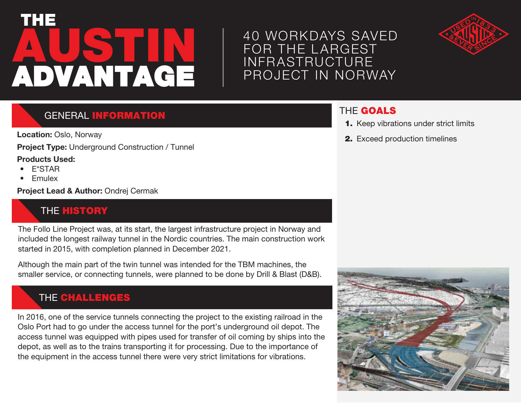# **AUSTIN** THE ADVANTAGE

## 40 WORKDAYS SAVED FOR THE L ARGEST INFRASTRUCTURE PROJECT IN NORWAY



### **GENERAL INFORMATION**

**Location:** Oslo, Norway

**Project Type:** Underground Construction / Tunnel

#### **Products Used:**

- E\*STAR
- Emulex

**Project Lead & Author:** Ondrej Cermak

#### **THE HISTORY**

The Follo Line Project was, at its start, the largest infrastructure project in Norway and included the longest railway tunnel in the Nordic countries. The main construction work started in 2015, with completion planned in December 2021.

Although the main part of the twin tunnel was intended for the TBM machines, the smaller service, or connecting tunnels, were planned to be done by Drill & Blast (D&B).

#### THE CHALLENGES

In 2016, one of the service tunnels connecting the project to the existing railroad in the Oslo Port had to go under the access tunnel for the port's underground oil depot. The access tunnel was equipped with pipes used for transfer of oil coming by ships into the depot, as well as to the trains transporting it for processing. Due to the importance of the equipment in the access tunnel there were very strict limitations for vibrations.

#### THE GOALS

- 1. Keep vibrations under strict limits
- 2. Exceed production timelines